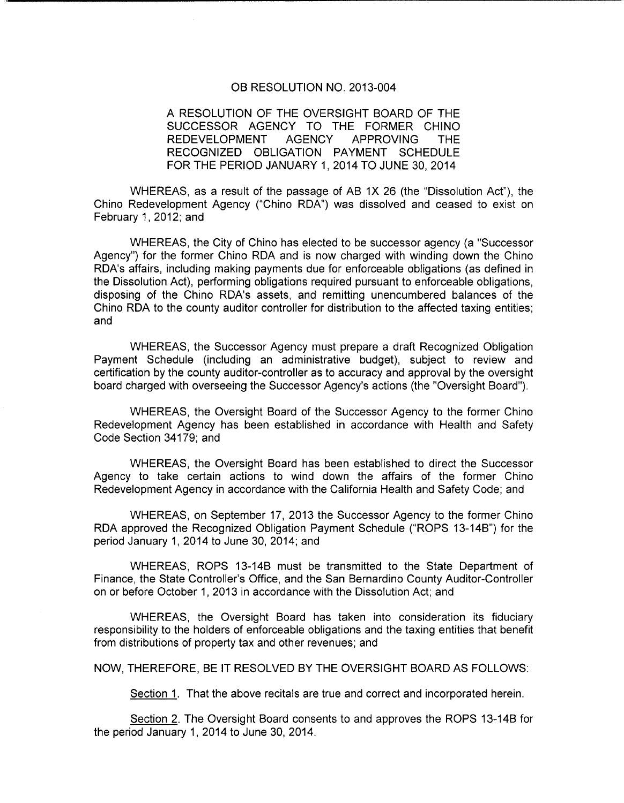## OB RESOLUTION NO. 2013-004

A RESOLUTION OF THE OVERSIGHT BOARD OF THE SUCCESSOR AGENCY TO THE FORMER CHINO REDEVELOPMENT AGENCY APPROVING THE RECOGNIZED OBLIGATION PAYMENT SCHEDULE FOR THE PERIOD JANUARY 1, 2014 TO JUNE 30, 2014

WHEREAS, as a result of the passage of AB 1X 26 (the "Dissolution Act"), the Chino Redevelopment Agency ("Chino RDA") was dissolved and ceased to exist on February 1, 2012; and

WHEREAS, the City of Chino has elected to be successor agency (a "Successor Agency") for the former Chino RDA and is now charged with winding down the Chino RDA's affairs, including making payments due for enforceable obligations ( as defined in the Dissolution Act), performing obligations required pursuant to enforceable obligations, disposing of the Chino RDA's assets, and remitting unencumbered balances of the Chino RDA to the county auditor controller for distribution to the affected taxing entities; and

WHEREAS, the Successor Agency must prepare a draft Recognized Obligation Payment Schedule (including an administrative budget), subject to review and certification by the county auditor-controller as to accuracy and approval by the oversight board charged with overseeing the Successor Agency's actions (the "Oversight Board").

WHEREAS, the Oversight Board of the Successor Agency to the former Chino Redevelopment Agency has been established in accordance with Health and Safety Code Section 34179; and

WHEREAS, the Oversight Board has been established to direct the Successor Agency to take certain actions to wind down the affairs of the former Chino Redevelopment Agency in accordance with the California Health and Safety Code; and

WHEREAS, on September 17, 2013 the Successor Agency to the former Chino RDA approved the Recognized Obligation Payment Schedule ("ROPS 13-14B") for the period January 1, 2014 to June 30, 2014; and

WHEREAS, ROPS 13-14B must be transmitted to the State Department of Finance, the State Controller's Office, and the San Bernardino County Auditor-Controller on or before October 1, 2013 in accordance with the Dissolution Act; and

WHEREAS, the Oversight Board has taken into consideration its fiduciary responsibility to the holders of enforceable obligations and the taxing entities that benefit from distributions of property tax and other revenues; and

NOW, THEREFORE, BE IT RESOLVED BY THE OVERSIGHT BOARD AS FOLLOWS:

Section 1. That the above recitals are true and correct and incorporated herein.

Section 2. The Oversight Board consents to and approves the ROPS 13-14B for the period January 1, 2014 to June 30, 2014.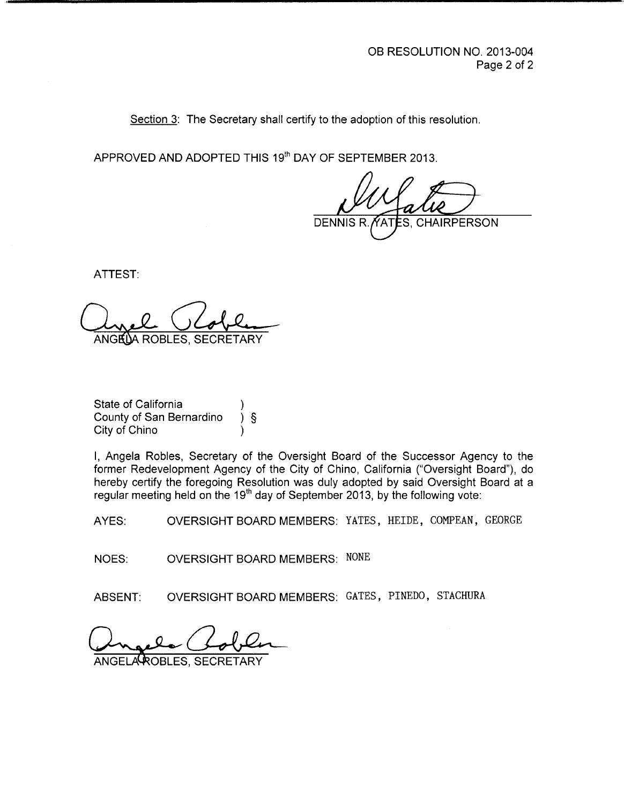Section 3: The Secretary shall certify to the adoption of this resolution.

APPROVED AND ADOPTED THIS 19<sup>th</sup> DAY OF SEPTEMBER 2013.

DENNIS R. AATES, CHAIRPERSON

ATTEST:

Cloble

ANGELA ROBLES, SECRETARY

State of California County of San Bernardino ) § City of Chino

I, Angela Robles, Secretary of the Oversight Board of the Successor Agency to the former Redevelopment Agency of the City of Chino, California ("Oversight Board"), do hereby certify the foregoing Resolution was duly adopted by said Oversight Board at a regular meeting held on the 19 $^{\text{th}}$  day of September 2013, by the following vote:

AYES: OVERSIGHT BOARD MEMBERS: YATES, HEIDE, COMPEAN, GEORGE

NOES: OVERSIGHT BOARD MEMBERS: NONE

ABSENT: OVERSIGHT BOARD MEMBERS: GATES, PINEDO, STACHURA

ANGELA ROBLES, SECRETARY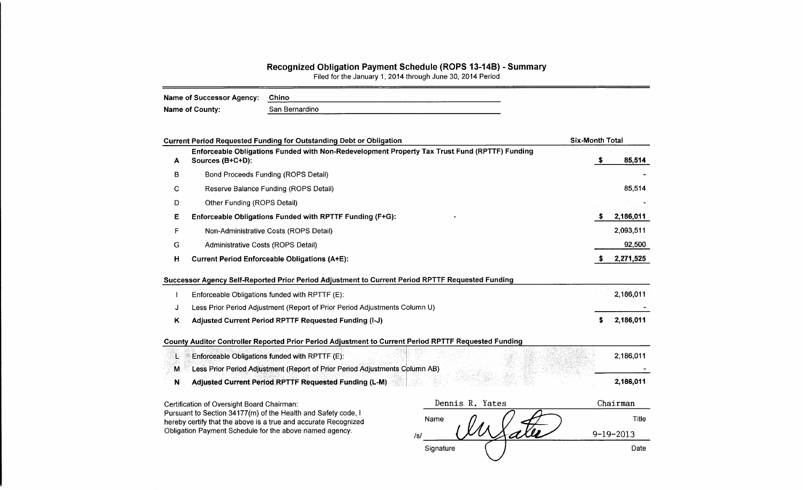## Recognized Obligation Payment Schedule (ROPS 13-14B) - Summary<br>Filed for the January 1, 2014 through June 30, 2014 Period

| Name of Successor Agency: Chino |                |
|---------------------------------|----------------|
| <b>Name of County:</b>          | San Bernardino |

|    | <b>Current Period Requested Funding for Outstanding Debt or Obligation</b>                                                                         | <b>Six-Month Total</b> |           |
|----|----------------------------------------------------------------------------------------------------------------------------------------------------|------------------------|-----------|
| A  | Enforceable Obligations Funded with Non-Redevelopment Property Tax Trust Fund (RPTTF) Funding<br>Sources (B+C+D):                                  |                        | 85,514    |
| в  | Bond Proceeds Funding (ROPS Detail)                                                                                                                |                        |           |
| С  | Reserve Balance Funding (ROPS Detail)                                                                                                              |                        | 85,514    |
| D  | Other Funding (ROPS Detail)                                                                                                                        |                        |           |
| Е  | Enforceable Obligations Funded with RPTTF Funding (F+G):                                                                                           |                        | 2,186,011 |
| F  | Non-Administrative Costs (ROPS Detail)                                                                                                             |                        | 2,093,511 |
| G  | Administrative Costs (ROPS Detail)                                                                                                                 |                        | 92,500    |
| н  | <b>Current Period Enforceable Obligations (A+E):</b>                                                                                               |                        | 2,271,525 |
|    | Successor Agency Self-Reported Prior Period Adjustment to Current Period RPTTF Requested Funding<br>Enforceable Obligations funded with RPTTF (E): |                        | 2,186,011 |
| J  | Less Prior Period Adjustment (Report of Prior Period Adjustments Column U)                                                                         |                        |           |
| ĸ  | Adjusted Current Period RPTTF Requested Funding (I-J)                                                                                              |                        | 2,186,011 |
|    | County Auditor Controller Reported Prior Period Adjustment to Current Period RPTTF Requested Funding                                               |                        |           |
| Æ. | Enforceable Obligations funded with RPTTF (E):                                                                                                     |                        | 2,186,011 |
| M. | Less Prior Period Adjustment (Report of Prior Period Adjustments Column AB)                                                                        |                        |           |
| N  | <b>Adjusted Current Period RPTTF Requested Funding (L-M)</b>                                                                                       |                        | 2,186,011 |

Certification of Oversight Board Chairman:<br>Pursuant to Section 34177(m) of the Health and Safety code, I hereby certify that the above is a true and accurate Recognized Obligation Payment Schedule for the above named agency.

|           | Dennis R. Yates | Chairman        |
|-----------|-----------------|-----------------|
| Name      |                 | Title           |
| /s/       |                 | $9 - 19 - 2013$ |
| Signature |                 | Date            |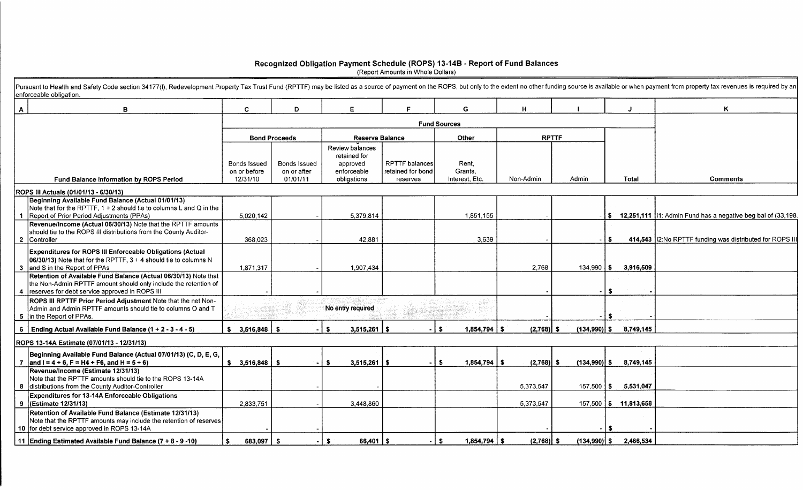## Recognized Obligation Payment Schedule (ROPS) 13-14B - Report of Fund Balances<br>(Report Amounts in Whole Dollars)

|                           | Pursuant to Health and Safety Code section 34177()), Redevelopment Property Tax Trust Fund (RPTTF) may be listed as a source of payment on the ROPS, but only to the extent no other funding source is available or when payme<br>enforceable obligation. |                                          |                                                |                                                                           |                                                        |                                    |                     |                       |                         |                                                                             |
|---------------------------|-----------------------------------------------------------------------------------------------------------------------------------------------------------------------------------------------------------------------------------------------------------|------------------------------------------|------------------------------------------------|---------------------------------------------------------------------------|--------------------------------------------------------|------------------------------------|---------------------|-----------------------|-------------------------|-----------------------------------------------------------------------------|
| $\boldsymbol{\mathsf{A}}$ | в                                                                                                                                                                                                                                                         | $\mathbf{C}$                             | D.                                             | E.                                                                        |                                                        | G                                  | н                   |                       |                         | Κ                                                                           |
|                           |                                                                                                                                                                                                                                                           |                                          |                                                |                                                                           |                                                        | <b>Fund Sources</b>                |                     |                       |                         |                                                                             |
|                           |                                                                                                                                                                                                                                                           |                                          | <b>Bond Proceeds</b>                           | <b>Reserve Balance</b>                                                    |                                                        | Other                              |                     | <b>RPTTF</b>          |                         |                                                                             |
|                           | Fund Balance Information by ROPS Period                                                                                                                                                                                                                   | Bonds Issued<br>on or before<br>12/31/10 | <b>Bonds Issued</b><br>on or after<br>01/01/11 | Review balances<br>retained for<br>approved<br>enforceable<br>obligations | <b>RPTTF</b> balances<br>retained for bond<br>reserves | Rent,<br>Grants,<br>Interest, Etc. | Non-Admin           | Admin                 | <b>Total</b>            | <b>Comments</b>                                                             |
|                           | ROPS III Actuals (01/01/13 - 6/30/13)                                                                                                                                                                                                                     |                                          |                                                |                                                                           |                                                        |                                    |                     |                       |                         |                                                                             |
|                           | Beginning Available Fund Balance (Actual 01/01/13)<br>Note that for the RPTTF, $1 + 2$ should tie to columns L and Q in the<br>Report of Prior Period Adjustments (PPAs)                                                                                  | 5,020,142                                |                                                | 5.379.814                                                                 |                                                        | 1,851,155                          |                     |                       |                         | $\frac{1}{3}$ 12,251,111   1: Admin Fund has a negative beg bal of (33,198) |
| $\mathbf{2}$              | Revenue/Income (Actual 06/30/13) Note that the RPTTF amounts<br>should tie to the ROPS III distributions from the County Auditor-<br>Controller                                                                                                           | 368,023                                  |                                                | 42,881                                                                    |                                                        | 3,639                              |                     |                       |                         | 414,543 I2:No RPTTF funding was distributed for ROPS II                     |
| 3                         | Expenditures for ROPS III Enforceable Obligations (Actual<br>06/30/13) Note that for the RPTTF, 3 + 4 should tie to columns N<br>and S in the Report of PPAs                                                                                              | 1,871,317                                |                                                | 1,907,434                                                                 |                                                        |                                    | 2,768               | $134,990$   \$        | 3,916,509               |                                                                             |
| 4                         | Retention of Available Fund Balance (Actual 06/30/13) Note that<br>the Non-Admin RPTTF amount should only include the retention of<br>reserves for debt service approved in ROPS III                                                                      |                                          |                                                |                                                                           |                                                        |                                    |                     |                       | S                       |                                                                             |
| 5.                        | ROPS III RPTTF Prior Period Adjustment Note that the net Non-<br>Admin and Admin RPTTF amounts should tie to columns O and T<br>in the Report of PPAs.                                                                                                    |                                          |                                                | No entry required                                                         |                                                        |                                    |                     |                       | s                       |                                                                             |
|                           | 6   Ending Actual Available Fund Balance $(1 + 2 - 3 - 4 - 5)$                                                                                                                                                                                            | \$3,516,848                              |                                                | $\mathbf{r}$<br>3.515.261                                                 |                                                        | 1,854,794<br>-5                    | I S<br>$(2.768)$ \$ | $(134,990)$ \$        | 8,749,145               |                                                                             |
|                           | ROPS 13-14A Estimate (07/01/13 - 12/31/13)                                                                                                                                                                                                                |                                          |                                                |                                                                           |                                                        |                                    |                     |                       |                         |                                                                             |
|                           | Beginning Available Fund Balance (Actual 07/01/13) (C, D, E, G,<br>7 $ $ and I = 4 + 6, F = H4 + F6, and H = 5 + 6)                                                                                                                                       | $$3,516,848$ \ \ \$                      |                                                | 3,515,261<br>S.                                                           | l S                                                    | 1,854,794<br>-S.                   | $(2,768)$ \$<br>S.  | $(134,990)$ \$        | 8,749,145               |                                                                             |
| 8                         | Revenue/Income (Estimate 12/31/13)<br>Note that the RPTTF amounts should tie to the ROPS 13-14A<br>distributions from the County Auditor-Controller                                                                                                       |                                          |                                                |                                                                           |                                                        |                                    | 5.373.547           | 157,500 $\frac{1}{5}$ | 5,531,047               |                                                                             |
|                           | <b>Expenditures for 13-14A Enforceable Obligations</b><br>9 (Estimate 12/31/13)                                                                                                                                                                           | 2,833,751                                |                                                | 3,448,860                                                                 |                                                        |                                    | 5,373,547           |                       | $157,500$ \$ 11,813,658 |                                                                             |
|                           | Retention of Available Fund Balance (Estimate 12/31/13)<br>Note that the RPTTF amounts may include the retention of reserves<br>10 for debt service approved in ROPS 13-14A                                                                               |                                          |                                                |                                                                           |                                                        |                                    |                     |                       | s.                      |                                                                             |
|                           | 11 Ending Estimated Available Fund Balance $(7 + 8 - 9 - 10)$                                                                                                                                                                                             | \$<br>$683,097$ \$                       |                                                | - S<br>$66,401$ S                                                         |                                                        | $1,854,794$ \$<br>l \$             | $(2,768)$ \$        | $(134,990)$ \$        | 2,466,534               |                                                                             |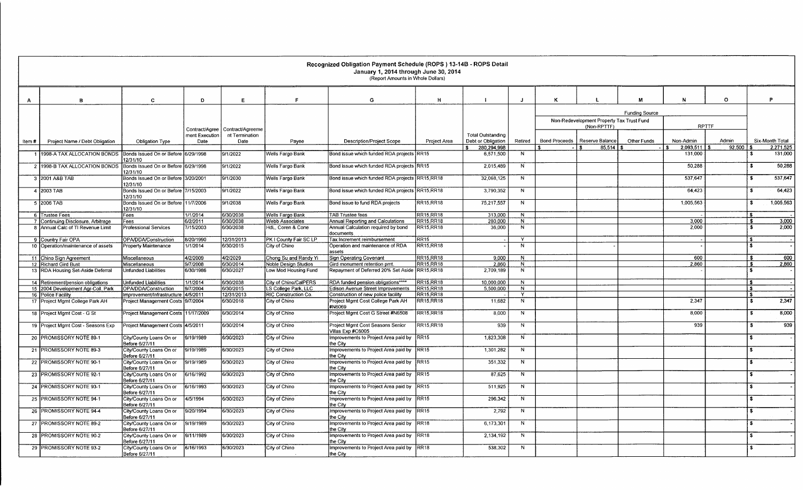|              |                                                                         |                                                                     |                                  |                                      |                                                     | Recognized Obligation Payment Schedule (ROPS) 13-14B - ROPS Detail<br>January 1, 2014 through June 30, 2014<br>(Report Amounts in Whole Dollars) |                                       |                                 |                     |                      |                                           |                       |                          |                        |                              |
|--------------|-------------------------------------------------------------------------|---------------------------------------------------------------------|----------------------------------|--------------------------------------|-----------------------------------------------------|--------------------------------------------------------------------------------------------------------------------------------------------------|---------------------------------------|---------------------------------|---------------------|----------------------|-------------------------------------------|-----------------------|--------------------------|------------------------|------------------------------|
| $\mathbf{A}$ | $\mathbf{B}$                                                            | C.                                                                  | D                                | E                                    | F                                                   | G                                                                                                                                                | H                                     |                                 | J                   | κ                    | $\mathbf{L}$                              | м                     | N                        | $\Omega$               | P                            |
|              |                                                                         |                                                                     |                                  |                                      |                                                     |                                                                                                                                                  |                                       |                                 |                     |                      |                                           | <b>Funding Source</b> |                          |                        |                              |
|              |                                                                         |                                                                     |                                  |                                      |                                                     |                                                                                                                                                  |                                       |                                 |                     |                      | Non-Redevelopment Property Tax Trust Fund |                       |                          |                        |                              |
|              |                                                                         |                                                                     | Contract/Agree<br>ment Execution | l Contract/Agreeme<br>nt Termination |                                                     |                                                                                                                                                  |                                       | <b>Total Outstanding</b>        |                     |                      | (Non-RPTTF)                               |                       |                          | <b>RPTTF</b>           |                              |
| Item#        | Project Name / Debt Obligation                                          | Obligation Type                                                     | Date                             | Date                                 | Payee                                               | <b>Description/Project Scope</b>                                                                                                                 | Project Area                          | Debt or Obligation              | Retired             | <b>Bond Proceeds</b> | Reserve Balance                           | Other Funds           | Non-Admin                | Admin                  | Six-Month Total              |
|              | 1998-A TAX ALLOCATION BONDS Bonds Issued On or Before 6/29/1998         |                                                                     |                                  | 9/1/2022                             | Wells Fargo Bank                                    | Bond issue which funded RDA projects RR15                                                                                                        |                                       | 280,294,998<br>IS.<br>6,571,500 | N                   |                      | $85,514$   \$<br>ΙS                       |                       | $2.093.511$ S<br>131,000 | $92.500$ $\frac{1}{5}$ | 2,271,525<br>131,000<br>- \$ |
|              | 2 1998-B TAX ALLOCATION BONDS                                           | 12/31/10<br>Bonds Issued On or Before 6/29/1998                     |                                  | 9/1/2022                             | Wells Fargo Bank                                    | Bond issue which funded RDA projects RR15                                                                                                        |                                       | 2,015,489                       | N                   |                      |                                           |                       | 50,288                   |                        | <b>S</b><br>50,288           |
|              |                                                                         | 12/31/10                                                            |                                  |                                      |                                                     |                                                                                                                                                  |                                       |                                 |                     |                      |                                           |                       |                          |                        |                              |
|              | 3 2001 A&B TAB                                                          | Bonds Issued On or Before 13/20/2001<br>12/31/10                    |                                  | 9/1/2030                             | Wells Fargo Bank                                    | Bond issue which funded RDA projects RR15,RR18                                                                                                   |                                       | 32.068.125                      | N                   |                      |                                           |                       | 537.647                  |                        | 537,647<br>'S                |
|              | 4 2003 TAB                                                              | Bonds Issued On or Before 7/15/2003<br>12/31/10                     |                                  | 9/1/2022                             | Wells Fargo Bank                                    | Bond issue which funded RDA projects RR15 RR18                                                                                                   |                                       | 3,790,352                       | N                   |                      |                                           |                       | 64,423                   |                        | $\cdot$<br>64,423            |
|              | 5 2006 TAB                                                              | Bonds Issued On or Before 11/7/2006<br>12/31/10                     |                                  | 9/1/2038                             | Wells Fargo Bank                                    | Bond issue to fund RDA projects                                                                                                                  | <b>RR15,RR18</b>                      | 75,217,557                      | N                   |                      |                                           |                       | 1,005,563                |                        | 1,005,563<br>l s             |
|              | 6 Trustee Fees                                                          | Fees                                                                | 1/1/2014                         | 6/30/2038                            | Wells Fargo Bank                                    | <b>TAB Trustee fees</b>                                                                                                                          | <b>RR15 RR18</b>                      | 313,000                         | N                   |                      |                                           |                       | 3.000                    |                        | l s<br>3.000                 |
|              | 7 Continuing Disclosure, Arbitrage<br>8 Annual Calc of TI Revenue Limit | Fees<br>Professional Services                                       | 6/2/2011<br>7/15/2003            | 6/30/2038<br>6/30/2038               | <b>Webb Associates</b><br>HdL, Coren & Cone         | Annual Reporting and Calculations<br>Annual Calculation required by bond                                                                         | <b>RR15,RR18</b><br><b>RR15, RR18</b> | 280,000<br>36,000               | N<br>N              |                      |                                           |                       | 2,000                    |                        | i \$<br>S.<br>2.000          |
|              |                                                                         |                                                                     |                                  |                                      |                                                     | documents                                                                                                                                        |                                       |                                 |                     |                      |                                           |                       |                          |                        |                              |
|              | 9 Country Fair OPA                                                      | OPA/DDA/Construction                                                | 8/20/1990                        | 12/31/2013                           | PK I County Fair SC LP                              | Tax Increment reimbursement                                                                                                                      | RR <sub>15</sub>                      |                                 |                     |                      |                                           |                       |                          |                        | <b>S</b>                     |
|              | 10 Operation/maintenance of assets                                      | Property Maintenance                                                | 1/1/2014                         | 6/30/2015                            | City of Chino                                       | Operation and maintenance of RDA<br>assets                                                                                                       | <b>RR15,RR18</b>                      |                                 | N                   |                      |                                           |                       |                          |                        | ! ≮                          |
|              | 11 Chino Sign Agreement                                                 | Miscellaneous                                                       | 4/2/2009                         | 4/2/2029                             | Chong Su and Randy Yi                               | Sign Operating Covenant                                                                                                                          | RR15.RR18<br><b>RR15,RR18</b>         | 9.000                           | N                   |                      |                                           |                       | 600                      |                        | 'S<br>600<br>i S             |
|              | 12 Richard Gird Bust<br>13 RDA Housing Set-Aside Deferral               | Miscellaneous<br>Unfunded Liabilities                               | 9/7/2008<br>6/30/1986            | 6/30/2014<br>6/30/2027               | <b>Noble Design Studios</b><br>Low Mod Housing Fund | Gird monument retention pmt.<br>Repayment of Deferred 20% Set Aside RR15,RR18                                                                    |                                       | 2,860<br>2.709.189              | N<br>N              |                      |                                           |                       | 2,860                    |                        | 2,860<br><b>. S.</b>         |
|              |                                                                         |                                                                     |                                  |                                      |                                                     |                                                                                                                                                  |                                       |                                 |                     |                      |                                           |                       |                          |                        |                              |
|              | 14 Retirement/pension obligations                                       | <b>Jnfunded Liabilities</b>                                         | 1/1/2014                         | 6/30/2038                            | City of Chino/CalPERS                               | RDA funded pension obligations****                                                                                                               | <b>RR15,RR18</b><br><b>RR15, RR18</b> | 10.000.000                      | N<br>$\overline{N}$ |                      |                                           |                       |                          |                        | $\bullet$                    |
|              | 15 2004 Development Agr-Coll. Park<br>16 Police Facility                | <b>OPA/DDA/Construction</b><br>Improvement/Infrastructure 14/5/2011 | 9/7/2004                         | 6/30/2015<br>12/31/2013              | LS College Park, LLC<br>RIC Construction Co.        | <b>Edison Avenue Street Improvements</b><br>Construction of new police facility                                                                  | <b>RR15,RR18</b>                      | 5,500,000                       | Y                   |                      |                                           |                       |                          |                        | l S<br>l S                   |
|              | 17 Project Mgmt College Park AH                                         | Project Management Costs 9/7/2004                                   |                                  | 6/30/2018                            | City of Chino                                       | Project Mgmt Cost College Park AH                                                                                                                | <b>RR15,RR18</b>                      | 11,682                          | $\overline{N}$      |                      |                                           |                       | 2.347                    |                        | 2.347<br><b>S</b>            |
|              |                                                                         |                                                                     |                                  |                                      |                                                     | #N6069                                                                                                                                           |                                       |                                 |                     |                      |                                           |                       |                          |                        |                              |
|              | 18 Project Mgmt Cost - G St                                             | Project Management Costs   11/17/2009                               |                                  | 6/30/2014                            | City of Chino                                       | Project Mgmt Cost G Street #N6508                                                                                                                | <b>RR15,RR18</b>                      | 8,000                           | N                   |                      |                                           |                       | 8,000                    |                        | 8,000<br>∣\$.                |
|              | 19 Project Mgmt Cost - Seasons Exp                                      | Project Management Costs 4/5/2011                                   |                                  | 6/30/2014                            | City of Chino                                       | Project Mgmt Cost Seasons Senior<br>Villas Exp #C6005                                                                                            | <b>RR15,RR18</b>                      | 939                             | $\mathbb N$         |                      |                                           |                       | 939                      |                        | l\$.<br>939                  |
|              | 20 PROMISSORY NOTE 89-1                                                 | City/County Loans On or<br>Before 6/27/11                           | 9/19/1989                        | 6/30/2023                            | City of Chino                                       | Improvements to Project Area paid by<br>the City                                                                                                 | RR <sub>15</sub>                      | 1.823,308                       | N                   |                      |                                           |                       |                          |                        | l S                          |
|              | 21 PROMISSORY NOTE 89-3                                                 | City/County Loans On or<br>Before 6/27/11                           | 9/19/1989                        | 6/30/2023                            | City of Chino                                       | Improvements to Project Area paid by RR15<br>the Citv                                                                                            |                                       | 1,301,282                       | $\overline{N}$      |                      |                                           |                       |                          |                        | l S                          |
|              | 22 PROMISSORY NOTE 90-1                                                 | City/County Loans On or<br>Before 6/27/11                           | 9/19/1989                        | 6/30/2023                            | City of Chino                                       | Improvements to Project Area paid by<br>the City                                                                                                 | <b>RR15</b>                           | 351,332                         | $\mathsf{N}$        |                      |                                           |                       |                          |                        | l S                          |
|              | 23 PROMISSORY NOTE 92-1                                                 | City/County Loans On or<br>Before 6/27/11                           | 6/16/1992                        | 6/30/2023                            | City of Chino                                       | Improvements to Project Area paid by<br>the City                                                                                                 | RR <sub>15</sub>                      | 87,625                          | N                   |                      |                                           |                       |                          |                        | ۱s.                          |
|              | 24 PROMISSORY NOTE 93-1                                                 | City/County Loans On or<br>Before 6/27/11                           | 6/16/1993                        | 6/30/2023                            | City of Chino                                       | Improvements to Project Area paid by<br>the City                                                                                                 | RR <sub>15</sub>                      | 511.925                         | N                   |                      |                                           |                       |                          |                        | ۱s                           |
|              | 25 PROMISSORY NOTE 94-1                                                 | City/County Loans On or<br>Before 6/27/11                           | 4/5/1994                         | 6/30/2023                            | City of Chino                                       | Improvements to Project Area paid by RR15<br>the City                                                                                            |                                       | 296,342                         | N                   |                      |                                           |                       |                          |                        | $\mathbf{s}$                 |
|              | 26 PROMISSORY NOTE 94-4                                                 | City/County Loans On or<br>Before 6/27/11                           | 9/20/1994                        | 6/30/2023                            | City of Chino                                       | Improvements to Project Area paid by RR15<br>the City                                                                                            |                                       | 2,792                           | N                   |                      |                                           |                       |                          |                        | l S                          |
|              | 27 PROMISSORY NOTE 89-2                                                 | City/County Loans On or<br>Before 6/27/11                           | /19/1989                         | 6/30/2023                            | City of Chino                                       | Improvements to Project Area paid by<br>the City                                                                                                 | <b>RR18</b>                           | 6,173,301                       | N                   |                      |                                           |                       |                          |                        | l St                         |
|              | 28 PROMISSORY NOTE 90-2                                                 | City/County Loans On or<br>Before 6/27/11                           | 9/11/1989                        | 6/30/2023                            | City of Chino                                       | Improvements to Project Area paid by<br>the City                                                                                                 | RR <sub>18</sub>                      | 2,134,192                       | N.                  |                      |                                           |                       |                          |                        | l S                          |
|              | 29 PROMISSORY NOTE 93-2                                                 | City/County Loans On or<br>Before 6/27/11                           | 6/16/1993                        | 6/30/2023                            | City of Chino                                       | Improvements to Project Area paid by<br>the City                                                                                                 | RR <sub>18</sub>                      | 538,302                         | N                   |                      |                                           |                       |                          |                        | -8                           |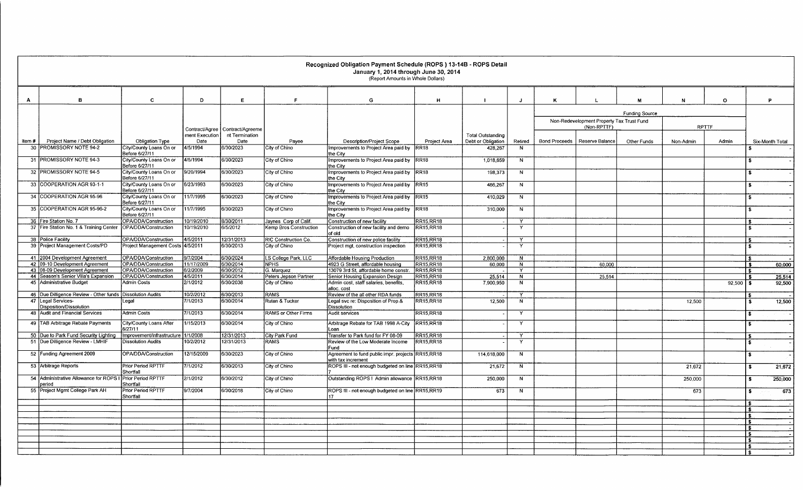|              |                                                                        |                                              |                      |                                   |                                     | Recognized Obligation Payment Schedule (ROPS) 13-14B - ROPS Detail<br>January 1, 2014 through June 30, 2014<br>(Report Amounts in Whole Dollars) |                                      |                          |                         |                      |                                           |                       |              |         |                               |                 |
|--------------|------------------------------------------------------------------------|----------------------------------------------|----------------------|-----------------------------------|-------------------------------------|--------------------------------------------------------------------------------------------------------------------------------------------------|--------------------------------------|--------------------------|-------------------------|----------------------|-------------------------------------------|-----------------------|--------------|---------|-------------------------------|-----------------|
| $\mathbf{A}$ | в                                                                      | $\mathbf{C}$                                 | $\mathbf{D}$         | E.                                | F                                   | G                                                                                                                                                | H                                    |                          | $\mathbf{J}$            | К                    |                                           | м                     | N            | $\circ$ |                               | P               |
|              |                                                                        |                                              |                      |                                   |                                     |                                                                                                                                                  |                                      |                          |                         |                      |                                           | <b>Funding Source</b> |              |         |                               |                 |
|              |                                                                        |                                              |                      |                                   |                                     |                                                                                                                                                  |                                      |                          |                         |                      | Non-Redevelopment Property Tax Trust Fund |                       |              |         |                               |                 |
|              |                                                                        |                                              |                      | Contract/Agree   Contract/Agreeme |                                     |                                                                                                                                                  |                                      |                          |                         |                      | (Non-RPTTF)                               |                       | <b>RPTTF</b> |         |                               |                 |
|              |                                                                        |                                              | nent Execution       | nt Termination                    |                                     |                                                                                                                                                  |                                      | <b>Total Outstanding</b> |                         |                      |                                           |                       |              |         |                               |                 |
| Item #       | Project Name / Debt Obligation                                         | <b>Obligation Type</b>                       | Date                 | Date                              | Payee                               | <b>Description/Project Scope</b>                                                                                                                 | <b>Project Area</b>                  | Debt or Obligation       | Retired                 | <b>Bond Proceeds</b> | Reserve Balance                           | <b>Other Funds</b>    | Non-Admin    | Admin   |                               | Six-Month Total |
|              | 30 PROMISSORY NOTE 94-2                                                | City/County Loans On or<br>Before 6/27/11    | 4/5/1994             | 6/30/2023                         | City of Chino                       | Improvements to Project Area paid by<br>the City                                                                                                 | RR <sub>18</sub>                     | 428.267                  | N                       |                      |                                           |                       |              |         | \$                            |                 |
|              | 31 PROMISSORY NOTE 94-3                                                | City/County Loans On or<br>Before 6/27/11    | 4/5/1994             | 6/30/2023                         | City of Chino                       | Improvements to Project Area paid by  RR18<br>the City                                                                                           |                                      | 1,018,659                | N                       |                      |                                           |                       |              |         | $\mathbf{s}$                  |                 |
|              | 32 PROMISSORY NOTE 94-5                                                | City/County Loans On or<br>Before 6/27/11    | 9/20/1994            | 6/30/2023                         | City of Chino                       | Improvements to Project Area paid by RR18<br>the City                                                                                            |                                      | 198,373                  | N                       |                      |                                           |                       |              |         | $\mathbf{s}$                  |                 |
|              | 33 COOPERATION AGR 93-1-1                                              | City/County Loans On or<br>Before 6/27/11    | 6/23/1993            | 6/30/2023                         | City of Chino                       | Improvements to Project Area paid by RR15<br>the City                                                                                            |                                      | 486,267                  | N                       |                      |                                           |                       |              |         | $\mathbf{x}$                  |                 |
|              | 34 COOPERATION AGR 95-96                                               | City/County Loans On or<br>Before 6/27/11    | 11/7/1995            | 6/30/2023                         | City of Chino                       | Improvements to Project Area paid by RR15<br>the City                                                                                            |                                      | 410,029                  | N.                      |                      |                                           |                       |              |         | $\mathbf{s}$                  |                 |
|              | 35 COOPERATION AGR 95-96-2                                             | City/County Loans On or<br>Before 6/27/11    | 11/7/1995            | 6/30/2023                         | City of Chino                       | Improvements to Project Area paid by RR18<br>the City                                                                                            |                                      | 310,000                  | N.                      |                      |                                           |                       |              |         | <b>S</b>                      |                 |
|              | 36 [Fire Station No. 7                                                 | OPA/DDA/Construction                         | 10/19/2010           | 8/30/2011                         | Jaynes Corp of Calif.               | Construction of new facility                                                                                                                     | RR15.RR18                            |                          | Y                       |                      |                                           |                       |              |         | i s                           |                 |
|              | 37 Fire Station No. 1 & Training Center                                | OPA/DDA/Construction                         | 10/19/2010           | 6/5/2012                          | Kemp Bros Construction              | Construction of new facility and demo<br>of old                                                                                                  | RR15,RR18                            |                          |                         |                      |                                           |                       |              |         | -98                           |                 |
|              | 38 Police Facility                                                     | OPA/DDA/Construction                         | 4/5/2011             | 12/31/2013                        | RIC Construction Co.                | Construction of new police facility                                                                                                              | RR15, RR18                           |                          | Y                       |                      |                                           |                       |              |         | l S                           |                 |
|              | 39 Project Management Costs/PD                                         | Project Management Costs 4/5/2011            |                      | 6/30/2013                         | City of Chino                       | Project mgt, construction inspection                                                                                                             | <b>RR15 RR18</b>                     |                          |                         |                      |                                           |                       |              |         | l \$                          |                 |
|              | 41 2004 Development Agreement                                          | OPA/DDA/Construction                         | 9/7/2004             | 6/30/2024                         | LS College Park, LLC                | Affordable Housing Production                                                                                                                    | RR15 RR18                            | 2,800,000                | N                       |                      |                                           |                       |              |         | l S                           |                 |
|              | 42 09-10 Development Agreement                                         | OPA/DDA/Construction                         | 11/17/2009           | 6/30/2014                         | <b>NPHS</b>                         | 4923 G Street, affordable housing                                                                                                                | RR15.RR18                            | 60.000                   | N.                      |                      | 60.000                                    |                       |              |         | i s                           | 60,000          |
|              | 43 08-09 Development Agreement<br>44 Season's Senior Villa's Expansion | OPA/DDA/Construction<br>OPA/DDA/Construction | 6/2/2009<br>4/5/2011 | 6/30/2012<br>6/30/2014            | G. Marquez<br>Peters Jepson Partner | 13079 3rd St, affordable home constr.<br>Senior Housing Expansion Design                                                                         | <b>RR15,RR18</b><br><b>RR15,RR18</b> | 25,514                   | N                       |                      | 25,514                                    |                       |              |         | ۱s<br>$\overline{\mathbf{r}}$ | 25,514          |
|              | 45 Administrative Budget                                               | <b>Admin Costs</b>                           | 2/1/2012             | 6/30/2038                         | City of Chino                       | Admin cost, staff salaries, benefits,                                                                                                            | <b>RR15, RR18</b>                    | 7,900,950                | N                       |                      |                                           |                       |              | 92.500  | l s                           | 92.500          |
|              |                                                                        |                                              |                      |                                   |                                     | alloc, cost                                                                                                                                      |                                      |                          |                         |                      |                                           |                       |              |         |                               |                 |
|              | 46 Due Dilligence Review - Other funds Dissolution Audits              |                                              | 10/2/2012            | 6/30/2013                         | <b>RAMS</b>                         | Review of the all other RDA funds                                                                                                                | <b>RR15,RR18</b>                     |                          | $\overline{\mathsf{v}}$ |                      |                                           |                       |              |         | s                             |                 |
|              | 47 Legal Services-<br>Disposition/Dissolution                          | Legal                                        | 7/1/2013             | 6/30/2014                         | Rutan & Tucker                      | Legal svc re: Disposition of Prop.&<br>Dissolution                                                                                               | <b>RR15,RR18</b>                     | 12,500                   | N                       |                      |                                           |                       | 12,500       |         | S.                            | 12,500          |
|              | 48 Audit and Financial Services                                        | <b>Admin Costs</b>                           | 7/1/2013             | 6/30/2014                         | RAMS or Other Firms                 | Audit services                                                                                                                                   | RR15, RR18                           |                          |                         |                      |                                           |                       |              |         | is.                           |                 |
|              | 49 TAB Arbitrage Rebate Payments                                       | City/County Loans After<br>6/27/11           | 1/15/2013            | 6/30/2014                         | City of Chino                       | Arbitrage Rebate for TAB 1998 A-City RR15 RR18<br>Loan                                                                                           |                                      |                          | Y                       |                      |                                           |                       |              |         | l s                           |                 |
|              | 50 Due to Park Fund Security Lighting                                  | Improvement/Infrastructure 1/1/2008          |                      | 12/31/2013                        | City Park Fund                      | Transfer to Park fund for FY 08-09                                                                                                               | <b>RR15.RR18</b>                     |                          | Y.                      |                      |                                           |                       |              |         | ۱s                            |                 |
|              | 51 Due Dilligence Review - LMHIF                                       | <b>Dissolution Audits</b>                    | 10/2/2012            | 12/31/2013                        | <b>RAMS</b>                         | Review of the Low Moderate Income<br>Fund                                                                                                        | <b>RR15,RR18</b>                     |                          |                         |                      |                                           |                       |              |         | l st                          |                 |
|              | 52 Funding Agreement 2009                                              | OPA/DDA/Construction                         | 12/15/2009           | 6/30/2023                         | City of Chino                       | Agreement to fund public impr. projects RR15,RR18<br>with tax increment                                                                          |                                      | 114,618,000              | $\overline{N}$          |                      |                                           |                       |              |         | is.                           |                 |
|              | 53 Arbitrage Reports                                                   | Prior Period RPTTF<br>Shortfall              | 7/1/2012             | 6/30/2013                         | City of Chino                       | ROPS III - not enough budgeted on line RR15,RR18                                                                                                 |                                      | 21,672                   | N                       |                      |                                           |                       | 21.672       |         | l S                           | 21,672          |
|              | 54 Administrative Allowance for ROPS<br>eriod                          | Prior Period RPTTF<br>Shortfall              | 2/1/2012             | 6/30/2012                         | City of Chino                       | Outstanding ROPS 1 Admin allowance RR15,RR18                                                                                                     |                                      | 250,000                  | N                       |                      |                                           |                       | 250,000      |         | ۱s.                           | 250.000         |
|              | 55 Project Mgmt College Park AH                                        | Prior Period RPTTF<br>Shortfall              | 9/7/2004             | 6/30/2018                         | City of Chino                       | ROPS III - not enough budgeted on line RR15, RR19                                                                                                |                                      | 673                      | N                       |                      |                                           |                       | 673          |         | ∣s⊺                           | 673             |
|              |                                                                        |                                              |                      |                                   |                                     |                                                                                                                                                  |                                      |                          |                         |                      |                                           |                       |              |         | l S.                          |                 |
|              |                                                                        |                                              |                      |                                   |                                     |                                                                                                                                                  |                                      |                          |                         |                      |                                           |                       |              |         | is.<br>غا                     |                 |
|              |                                                                        |                                              |                      |                                   |                                     |                                                                                                                                                  |                                      |                          |                         |                      |                                           |                       |              |         | l s                           |                 |
|              |                                                                        |                                              |                      |                                   |                                     |                                                                                                                                                  |                                      |                          |                         |                      |                                           |                       |              |         | l Si                          |                 |
|              |                                                                        |                                              |                      |                                   |                                     |                                                                                                                                                  |                                      |                          |                         |                      |                                           |                       |              |         | ١s                            |                 |
|              |                                                                        |                                              |                      |                                   |                                     |                                                                                                                                                  |                                      |                          |                         |                      |                                           |                       |              |         | <b>S</b>                      |                 |
|              |                                                                        |                                              |                      |                                   |                                     |                                                                                                                                                  |                                      |                          |                         |                      |                                           |                       |              |         | ١s<br>l St                    |                 |
|              |                                                                        |                                              |                      |                                   |                                     |                                                                                                                                                  |                                      |                          |                         |                      |                                           |                       |              |         |                               |                 |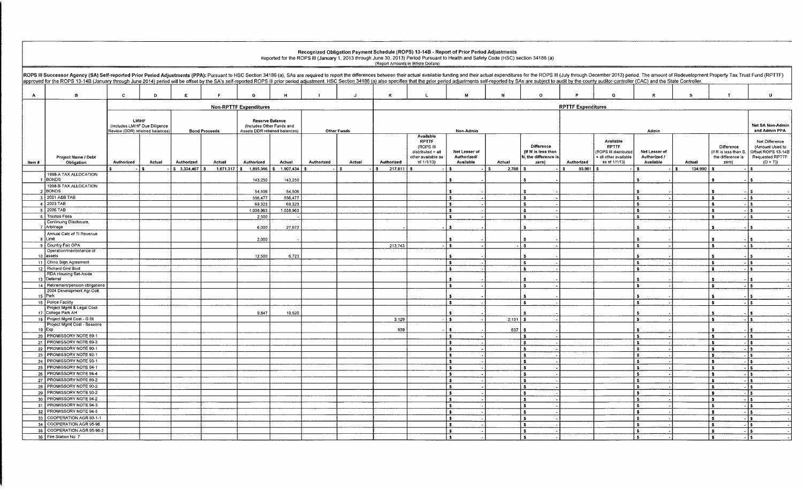|              |                                                                                                                                                                                                                                                                                                                                                                                                                                                                  |              |                                                                           |             |                      |                               |                                                            |            |                    | (Report Amounts in Whole Dollars) | Recognized Obligation Payment Schedule (ROPS) 13-14B - Report of Prior Period Adjustments<br>Reported for the ROPS III (January 1, 2013 through June 30, 2013) Period Pursuant to Health and Safety Code (HSC) section 34186 (a) |                                           |                   |                                                                         |                              |                                                                                              |                                            |              |                                                                   |                                                                                         |
|--------------|------------------------------------------------------------------------------------------------------------------------------------------------------------------------------------------------------------------------------------------------------------------------------------------------------------------------------------------------------------------------------------------------------------------------------------------------------------------|--------------|---------------------------------------------------------------------------|-------------|----------------------|-------------------------------|------------------------------------------------------------|------------|--------------------|-----------------------------------|----------------------------------------------------------------------------------------------------------------------------------------------------------------------------------------------------------------------------------|-------------------------------------------|-------------------|-------------------------------------------------------------------------|------------------------------|----------------------------------------------------------------------------------------------|--------------------------------------------|--------------|-------------------------------------------------------------------|-----------------------------------------------------------------------------------------|
|              | ROPS III Successor Agency (SA) Self-reported Prior Period Adjustments (PPA): Pursuant to HSC Section 34186 (a), SAs are required to report the differences between their actual available funding and their actual expenditure<br>approved for the ROPS 13-14B (January through June 2014) period will be offset by the SA's self-reported ROPS III prior period adjustment. HSC Section 34186 (a) also specifies that the prior period adjustments self-reporte |              |                                                                           |             |                      |                               |                                                            |            |                    |                                   |                                                                                                                                                                                                                                  |                                           |                   |                                                                         |                              |                                                                                              |                                            |              |                                                                   |                                                                                         |
| $\mathbf{A}$ | в                                                                                                                                                                                                                                                                                                                                                                                                                                                                | $\mathbf{c}$ | D                                                                         | E           | F                    | G                             | H                                                          |            | <b>J</b>           | к                                 | - L                                                                                                                                                                                                                              | M                                         | $\mathbf{N}$      | $\circ$                                                                 |                              | $\circ$                                                                                      | R                                          | s            | $\mathbf{r}$                                                      | U                                                                                       |
|              |                                                                                                                                                                                                                                                                                                                                                                                                                                                                  |              |                                                                           |             |                      | <b>Non-RPTTF Expenditures</b> |                                                            |            |                    |                                   |                                                                                                                                                                                                                                  |                                           |                   |                                                                         | <b>RPTTF Expenditures</b>    |                                                                                              |                                            |              |                                                                   |                                                                                         |
|              |                                                                                                                                                                                                                                                                                                                                                                                                                                                                  |              |                                                                           |             |                      |                               |                                                            |            |                    |                                   |                                                                                                                                                                                                                                  |                                           |                   |                                                                         |                              |                                                                                              |                                            |              |                                                                   |                                                                                         |
|              |                                                                                                                                                                                                                                                                                                                                                                                                                                                                  |              | LMIHF<br>(Includes LMIHF Due Diligence<br>Review (DDR) retained balances) |             | <b>Bond Proceeds</b> | Reserve Balance               | (includes Other Funds and<br>Assets DDR retained balances) |            | <b>Other Funds</b> |                                   |                                                                                                                                                                                                                                  | Non-Admin                                 |                   |                                                                         |                              |                                                                                              | Admin                                      |              |                                                                   | Net SA Non-Admin<br>and Admin PPA                                                       |
| ltem #       | Project Name / Debt<br>Obligation                                                                                                                                                                                                                                                                                                                                                                                                                                | Authorized   | Actual                                                                    | Authorized  | Actual               | Authorized                    | Actual                                                     | Authorized | Actual             | Authorized                        | Available<br><b>RPTTF</b><br>(ROPS III<br>distributed + all<br>other available as<br>of 1/1/13)                                                                                                                                  | Net Lesser of<br>Authorized/<br>Available | Actual            | <b>Difference</b><br>(If M is less than<br>N, the difference i<br>zero) | Authorized                   | Available<br><b>RPTTF</b><br>(ROPS III distributed<br>+ all other available<br>as of 1/1/13) | Net Lesser of<br>Authorized /<br>Available | Actual       | Difference<br>(If R is less than S,<br>the difference is<br>zero) | Net Difference<br>(Amount Used to<br>Offset ROPS 13-14B<br>Requested RPTTF<br>$(O + T)$ |
|              | 1998-A TAX ALLOCATION                                                                                                                                                                                                                                                                                                                                                                                                                                            |              |                                                                           | \$3,334,467 | 1,871,317            | \$ 1,895,366                  | 1,907,434                                                  |            |                    | 217,811                           |                                                                                                                                                                                                                                  | - \$                                      | 2,768<br><b>S</b> |                                                                         | $93,961$ $\frac{1}{3}$<br>s. |                                                                                              |                                            | $134,990$ \$ |                                                                   |                                                                                         |
|              | <b>BONDS</b>                                                                                                                                                                                                                                                                                                                                                                                                                                                     |              |                                                                           |             |                      | 143,250                       | 143,250                                                    |            |                    |                                   |                                                                                                                                                                                                                                  |                                           |                   |                                                                         |                              |                                                                                              |                                            |              |                                                                   |                                                                                         |
|              | 1998-B TAX ALLOCATION<br>BONDS                                                                                                                                                                                                                                                                                                                                                                                                                                   |              |                                                                           |             |                      | 54,506                        | 54,506                                                     |            |                    |                                   |                                                                                                                                                                                                                                  |                                           |                   |                                                                         |                              |                                                                                              |                                            |              |                                                                   |                                                                                         |
|              | 3 2001 A&B TAB                                                                                                                                                                                                                                                                                                                                                                                                                                                   |              |                                                                           |             |                      | 556,477                       | 556,477                                                    |            |                    |                                   |                                                                                                                                                                                                                                  | l's                                       |                   | $\mathbf{s}$                                                            |                              |                                                                                              | $\mathbf{s}$                               |              | l s                                                               | -ls                                                                                     |
|              | 4 2003 TAB                                                                                                                                                                                                                                                                                                                                                                                                                                                       |              |                                                                           |             |                      | 69,323                        | 69,323                                                     |            |                    |                                   |                                                                                                                                                                                                                                  | l'\$⊹                                     |                   | S.                                                                      |                              |                                                                                              | <b>S</b>                                   |              | i s                                                               | $-1$ s                                                                                  |
|              | 5 2006 TAB<br>6 Trustee Fees                                                                                                                                                                                                                                                                                                                                                                                                                                     |              |                                                                           |             |                      | 1,038,963<br>2,500            | 1,038,963                                                  |            |                    |                                   |                                                                                                                                                                                                                                  | is.<br>is.                                |                   | ∣s.<br>÷S.                                                              |                              |                                                                                              | ີ\$<br>$\mathbf{s}$                        |              | l s<br><b>S</b>                                                   | - İs<br>- Is                                                                            |
|              | Continuing Disclosure,                                                                                                                                                                                                                                                                                                                                                                                                                                           |              |                                                                           |             |                      |                               |                                                            |            |                    |                                   |                                                                                                                                                                                                                                  |                                           |                   |                                                                         |                              |                                                                                              |                                            |              |                                                                   |                                                                                         |
|              | 7 Arbitrage                                                                                                                                                                                                                                                                                                                                                                                                                                                      |              |                                                                           |             |                      | 6,000                         | 27,672                                                     |            |                    |                                   |                                                                                                                                                                                                                                  |                                           |                   |                                                                         |                              |                                                                                              |                                            |              |                                                                   |                                                                                         |
|              | Annual Calc of TI Revenue<br>8 Limit                                                                                                                                                                                                                                                                                                                                                                                                                             |              |                                                                           |             |                      | 2,000                         |                                                            |            |                    |                                   |                                                                                                                                                                                                                                  |                                           |                   |                                                                         |                              |                                                                                              |                                            |              |                                                                   |                                                                                         |
|              | 9 Country Fair OPA                                                                                                                                                                                                                                                                                                                                                                                                                                               |              |                                                                           |             |                      |                               |                                                            |            |                    | 213,743                           |                                                                                                                                                                                                                                  | ls.                                       |                   | ls.                                                                     |                              |                                                                                              | $\mathbf{s}$                               |              | is.                                                               | $-1s$                                                                                   |
|              | Operation/maintenance of<br>10 assets                                                                                                                                                                                                                                                                                                                                                                                                                            |              |                                                                           |             |                      |                               |                                                            |            |                    |                                   |                                                                                                                                                                                                                                  |                                           |                   |                                                                         |                              |                                                                                              |                                            |              |                                                                   |                                                                                         |
|              | 11   Chino Sign Agreement                                                                                                                                                                                                                                                                                                                                                                                                                                        |              |                                                                           |             |                      | 12,500                        | 6,723                                                      |            |                    |                                   |                                                                                                                                                                                                                                  | l s                                       |                   | $\mathbf{s}$                                                            |                              |                                                                                              | $\mathbf{s}$                               |              | ∣\$.                                                              | - Is                                                                                    |
|              | 12 Richard Gird Bust                                                                                                                                                                                                                                                                                                                                                                                                                                             |              |                                                                           |             |                      |                               |                                                            |            |                    |                                   |                                                                                                                                                                                                                                  | l s                                       |                   | <b>S</b>                                                                |                              |                                                                                              | $-5$                                       |              | l s                                                               | l s                                                                                     |
|              | RDA Housing Set-Aside<br>13 Deferral                                                                                                                                                                                                                                                                                                                                                                                                                             |              |                                                                           |             |                      |                               |                                                            |            |                    |                                   |                                                                                                                                                                                                                                  |                                           |                   |                                                                         |                              |                                                                                              |                                            |              |                                                                   |                                                                                         |
|              | 14   Retirement/pension obligations                                                                                                                                                                                                                                                                                                                                                                                                                              |              |                                                                           |             |                      |                               |                                                            |            |                    |                                   |                                                                                                                                                                                                                                  | is.                                       |                   | $\mathbf{S}$                                                            |                              |                                                                                              | $\bullet$                                  |              | l s                                                               | ł٩                                                                                      |
|              | 2004 Development Agr-Coll.                                                                                                                                                                                                                                                                                                                                                                                                                                       |              |                                                                           |             |                      |                               |                                                            |            |                    |                                   |                                                                                                                                                                                                                                  |                                           |                   |                                                                         |                              |                                                                                              |                                            |              |                                                                   |                                                                                         |
|              | 15 Park                                                                                                                                                                                                                                                                                                                                                                                                                                                          |              |                                                                           |             |                      |                               |                                                            |            |                    |                                   |                                                                                                                                                                                                                                  |                                           |                   |                                                                         |                              |                                                                                              |                                            |              |                                                                   |                                                                                         |
|              | 16 Police Facility<br>Project Mgmt & Legal Cost-                                                                                                                                                                                                                                                                                                                                                                                                                 |              |                                                                           |             |                      |                               |                                                            |            |                    |                                   |                                                                                                                                                                                                                                  | l s                                       |                   | $\mathbf{s}$                                                            |                              |                                                                                              | $\mathbf{s}$                               |              | l s                                                               | - I s                                                                                   |
|              | 17 College Park AH                                                                                                                                                                                                                                                                                                                                                                                                                                               |              |                                                                           |             |                      | 9,847                         | 10,520                                                     |            |                    |                                   |                                                                                                                                                                                                                                  |                                           |                   |                                                                         |                              |                                                                                              |                                            |              |                                                                   |                                                                                         |
|              | 18 Project Mgmt Cost - G St<br>Project Mgmt Cost - Seasons                                                                                                                                                                                                                                                                                                                                                                                                       |              |                                                                           |             |                      |                               |                                                            |            |                    | 3,129                             |                                                                                                                                                                                                                                  | ls.                                       | 2,131             |                                                                         |                              |                                                                                              | S.                                         |              | ls.                                                               | - Is                                                                                    |
| $19$ Exp     |                                                                                                                                                                                                                                                                                                                                                                                                                                                                  |              |                                                                           |             |                      |                               |                                                            |            |                    | 939                               |                                                                                                                                                                                                                                  |                                           | 637               |                                                                         |                              |                                                                                              |                                            |              |                                                                   |                                                                                         |
|              | 20 PROMISSORY NOTE 89-1                                                                                                                                                                                                                                                                                                                                                                                                                                          |              |                                                                           |             |                      |                               |                                                            |            |                    |                                   |                                                                                                                                                                                                                                  | l s                                       |                   | s                                                                       |                              |                                                                                              | <b>S</b>                                   |              | is.                                                               | - is                                                                                    |
|              | 21   PROMISSORY NOTE 89-3<br>22 PROMISSORY NOTE 90-1                                                                                                                                                                                                                                                                                                                                                                                                             |              |                                                                           |             |                      |                               |                                                            |            |                    |                                   |                                                                                                                                                                                                                                  | ls.<br>l s                                |                   | S.<br>'N.                                                               |                              |                                                                                              | $\mathbf{s}$<br>$\cdot$                    |              | ls.<br>l s                                                        | - IS<br>۰ls.                                                                            |
|              | 23 PROMISSORY NOTE 92-1                                                                                                                                                                                                                                                                                                                                                                                                                                          |              |                                                                           |             |                      |                               |                                                            |            |                    |                                   |                                                                                                                                                                                                                                  | l s                                       |                   | s                                                                       |                              |                                                                                              | s                                          |              | F\$.                                                              | -   \$                                                                                  |
|              | 24 PROMISSORY NOTE 93-1                                                                                                                                                                                                                                                                                                                                                                                                                                          |              |                                                                           |             |                      |                               |                                                            |            |                    |                                   |                                                                                                                                                                                                                                  | ls.                                       |                   | is.                                                                     |                              |                                                                                              | ∴s.                                        |              | ls.                                                               | - IS                                                                                    |
|              | 25 PROMISSORY NOTE 94-1                                                                                                                                                                                                                                                                                                                                                                                                                                          |              |                                                                           |             |                      |                               |                                                            |            |                    |                                   |                                                                                                                                                                                                                                  | is.                                       |                   | ∣s.                                                                     |                              |                                                                                              | $\cdot$ s                                  |              | l si                                                              | - Is                                                                                    |
|              | 26   PROMISSORY NOTE 94-4                                                                                                                                                                                                                                                                                                                                                                                                                                        |              |                                                                           |             |                      |                               |                                                            |            |                    |                                   |                                                                                                                                                                                                                                  | l S.                                      |                   | - 5                                                                     |                              |                                                                                              | $\mathbf{s}$                               |              | l S.                                                              | $-15$                                                                                   |
|              | 27   PROMISSORY NOTE 89-2<br>28 PROMISSORY NOTE 90-2                                                                                                                                                                                                                                                                                                                                                                                                             |              |                                                                           |             |                      |                               |                                                            |            |                    |                                   |                                                                                                                                                                                                                                  | ١s<br>İs                                  |                   | ⊺s:<br>S.                                                               |                              |                                                                                              | $\mathbf{s}$<br>is.                        |              | $\mathbf{s}$<br>l s                                               | - Is<br>- is                                                                            |
|              | 29 PROMISSORY NOTE 93-2                                                                                                                                                                                                                                                                                                                                                                                                                                          |              |                                                                           |             |                      |                               |                                                            |            |                    |                                   |                                                                                                                                                                                                                                  | l s                                       |                   | s.                                                                      |                              |                                                                                              | $\mathbf{S}$                               |              | ls.                                                               | - IS                                                                                    |
|              | 30 PROMISSORY NOTE 94-2                                                                                                                                                                                                                                                                                                                                                                                                                                          |              |                                                                           |             |                      |                               |                                                            |            |                    |                                   |                                                                                                                                                                                                                                  | i s                                       |                   | i s                                                                     |                              |                                                                                              | S.                                         |              | l si                                                              | - is                                                                                    |
|              | 31 PROMISSORY NOTE 94-3                                                                                                                                                                                                                                                                                                                                                                                                                                          |              |                                                                           |             |                      |                               |                                                            |            |                    |                                   |                                                                                                                                                                                                                                  | is.                                       |                   | s.                                                                      |                              |                                                                                              | $\mathbf{s}$                               |              | ∣s.                                                               | $-1$ s                                                                                  |
|              | 32   PROMISSORY NOTE 94-5                                                                                                                                                                                                                                                                                                                                                                                                                                        |              |                                                                           |             |                      |                               |                                                            |            |                    |                                   |                                                                                                                                                                                                                                  | İ٤                                        |                   | l S                                                                     |                              |                                                                                              | is.                                        |              | ls.                                                               | $-1s$                                                                                   |
|              | 33 COOPERATION AGR 93-1-1<br>34 COOPERATION AGR 95-96                                                                                                                                                                                                                                                                                                                                                                                                            |              |                                                                           |             |                      |                               |                                                            |            |                    |                                   |                                                                                                                                                                                                                                  | l s<br>۱s۶                                |                   | s.<br>s                                                                 |                              |                                                                                              | s.<br>s.                                   |              | l s<br>i s-                                                       | - I s<br>- 1 s                                                                          |
|              | 35 COOPERATION AGR 95-96-2                                                                                                                                                                                                                                                                                                                                                                                                                                       |              |                                                                           |             |                      |                               |                                                            |            |                    |                                   |                                                                                                                                                                                                                                  | is.                                       |                   | \$.                                                                     |                              |                                                                                              | ∴\$.                                       |              | l s                                                               | ls:                                                                                     |
|              | 36 Fire Station No. 7                                                                                                                                                                                                                                                                                                                                                                                                                                            |              |                                                                           |             |                      |                               |                                                            |            |                    |                                   |                                                                                                                                                                                                                                  | l s                                       |                   | s                                                                       |                              |                                                                                              | $\mathbf{s}$                               |              | ls.                                                               | l s                                                                                     |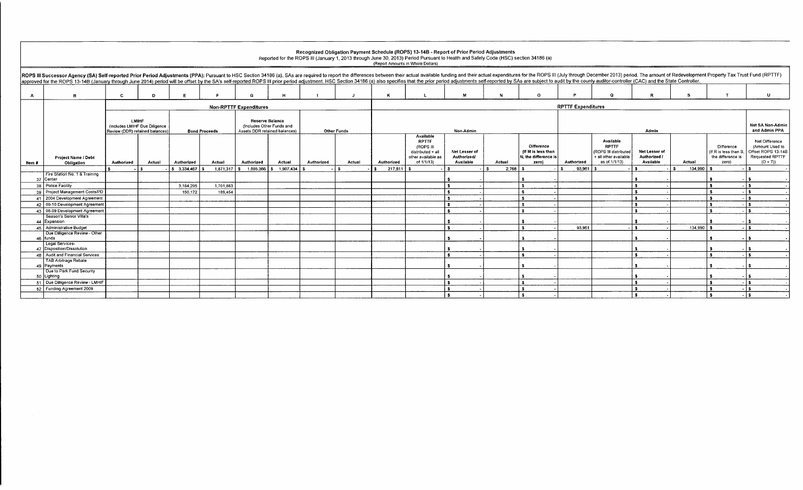|        |                                                                                                                                                                                                                                                                                                                                                                                                                                                                  |            |                                                                          |                  |                      |                                                                                      |               |            |                    |            | Recognized Obligation Payment Schedule (ROPS) 13-14B - Report of Prior Period Adjustments<br>Reported for the ROPS III (January 1, 2013 through June 30, 2013) Period Pursuant to Health and Safety Code (HSC) section 34186 (a)<br>(Report Amounts in Whole Dollars) |                                                  |        |                                                                         |                           |                                                                                              |                                            |                      |                                                                   |                                                                                                |
|--------|------------------------------------------------------------------------------------------------------------------------------------------------------------------------------------------------------------------------------------------------------------------------------------------------------------------------------------------------------------------------------------------------------------------------------------------------------------------|------------|--------------------------------------------------------------------------|------------------|----------------------|--------------------------------------------------------------------------------------|---------------|------------|--------------------|------------|-----------------------------------------------------------------------------------------------------------------------------------------------------------------------------------------------------------------------------------------------------------------------|--------------------------------------------------|--------|-------------------------------------------------------------------------|---------------------------|----------------------------------------------------------------------------------------------|--------------------------------------------|----------------------|-------------------------------------------------------------------|------------------------------------------------------------------------------------------------|
|        | ROPS III Successor Agency (SA) Self-reported Prior Period Adjustments (PPA): Pursuant to HSC Section 34186 (a), SAs are required to report the differences between their actual available funding and their actual expenditure<br>approved for the ROPS 13-14B (January through June 2014) period will be offset by the SA's self-reported ROPS III prior period adjustment. HSC Section 34186 (a) also specifies that the prior period adjustments self-reporte |            |                                                                          |                  |                      |                                                                                      |               |            |                    |            |                                                                                                                                                                                                                                                                       |                                                  |        |                                                                         |                           |                                                                                              |                                            |                      |                                                                   |                                                                                                |
|        | <b>B</b>                                                                                                                                                                                                                                                                                                                                                                                                                                                         | c.         | D.                                                                       |                  |                      | $\mathbf{G}$                                                                         |               |            |                    |            |                                                                                                                                                                                                                                                                       | M                                                |        | $\Omega$                                                                |                           | $\Omega$                                                                                     |                                            |                      |                                                                   |                                                                                                |
|        |                                                                                                                                                                                                                                                                                                                                                                                                                                                                  |            |                                                                          |                  |                      | <b>Non-RPTTF Expenditures</b>                                                        |               |            |                    |            |                                                                                                                                                                                                                                                                       |                                                  |        |                                                                         | <b>RPTTF Expenditures</b> |                                                                                              |                                            |                      |                                                                   |                                                                                                |
|        |                                                                                                                                                                                                                                                                                                                                                                                                                                                                  |            | LMIHF<br>(Includes LMIHF Due Diligence<br>Review (DDR) retained balances |                  | <b>Bond Proceeds</b> | <b>Reserve Balance</b><br>(Includes Other Funds and<br>Assets DDR retained balances) |               |            | <b>Other Funds</b> |            |                                                                                                                                                                                                                                                                       | Non-Admin                                        |        |                                                                         |                           |                                                                                              | Admin                                      |                      |                                                                   | Net SA Non-Admin<br>and Admin PPA                                                              |
| Item # | <b>Project Name / Debt</b><br>Obligation                                                                                                                                                                                                                                                                                                                                                                                                                         | Authorized | Actual                                                                   | Authorized       | Actual               | Authorized                                                                           | Actual        | Authorized | Actual             | Authorized | Available<br><b>RPTTF</b><br>(ROPS III<br>distributed + all<br>other available as<br>of 1/1/13)                                                                                                                                                                       | Net Lesser of<br><b>Authorized/</b><br>Available | Actual | <b>Difference</b><br>(If M is less than<br>N. the difference i<br>zero) | Authorized                | Available<br><b>RPTTF</b><br>(ROPS III distributed<br>+ all other available<br>as of 1/1/13) | Net Lesser of<br>Authorized /<br>Available | Actual               | Difference<br>(If R is less than S,<br>the difference is<br>zero) | Net Difference<br>(Amount Used to<br>Offset ROPS 13-14B<br><b>Requested RPTTF</b><br>$(O + T)$ |
|        |                                                                                                                                                                                                                                                                                                                                                                                                                                                                  |            |                                                                          | $ $ \$ 3.334.467 | $1,871.317$ S        | 1,895,366                                                                            | $1.907.434$ S |            |                    | 217.811    |                                                                                                                                                                                                                                                                       |                                                  | 2.768  |                                                                         | 93,961                    |                                                                                              |                                            | 134,990 S<br>l s     |                                                                   |                                                                                                |
|        | Fire Station No. 1 & Training<br>37 Center                                                                                                                                                                                                                                                                                                                                                                                                                       |            |                                                                          |                  |                      |                                                                                      |               |            |                    |            |                                                                                                                                                                                                                                                                       |                                                  |        |                                                                         |                           |                                                                                              |                                            |                      |                                                                   |                                                                                                |
|        | 38 Police Facility                                                                                                                                                                                                                                                                                                                                                                                                                                               |            |                                                                          | 3.184.295        | 1.701.863            |                                                                                      |               |            |                    |            |                                                                                                                                                                                                                                                                       |                                                  |        |                                                                         |                           |                                                                                              | `\$.                                       |                      |                                                                   | .1s                                                                                            |
|        | 39 Project Management Costs/PD                                                                                                                                                                                                                                                                                                                                                                                                                                   |            |                                                                          | 150,172          | 169.454              |                                                                                      |               |            |                    |            |                                                                                                                                                                                                                                                                       |                                                  |        |                                                                         |                           |                                                                                              | $\mathbf{s}$                               |                      |                                                                   | $-15$                                                                                          |
|        | 41 2004 Development Agreement                                                                                                                                                                                                                                                                                                                                                                                                                                    |            |                                                                          |                  |                      |                                                                                      |               |            |                    |            |                                                                                                                                                                                                                                                                       |                                                  |        |                                                                         |                           |                                                                                              | $\mathbf{r}$                               |                      | $\mathbf{r}$                                                      | $-1$ s                                                                                         |
|        | 42 09-10 Development Agreemer                                                                                                                                                                                                                                                                                                                                                                                                                                    |            |                                                                          |                  |                      |                                                                                      |               |            |                    |            |                                                                                                                                                                                                                                                                       |                                                  |        |                                                                         |                           |                                                                                              |                                            |                      |                                                                   |                                                                                                |
|        | 43 08-09 Development Agreemer                                                                                                                                                                                                                                                                                                                                                                                                                                    |            |                                                                          |                  |                      |                                                                                      |               |            |                    |            |                                                                                                                                                                                                                                                                       |                                                  |        |                                                                         |                           |                                                                                              |                                            |                      |                                                                   |                                                                                                |
|        | Season's Senior Villa's<br>44 Expansion                                                                                                                                                                                                                                                                                                                                                                                                                          |            |                                                                          |                  |                      |                                                                                      |               |            |                    |            |                                                                                                                                                                                                                                                                       |                                                  |        |                                                                         |                           |                                                                                              |                                            |                      |                                                                   |                                                                                                |
| 45 I   | Administrative Budget                                                                                                                                                                                                                                                                                                                                                                                                                                            |            |                                                                          |                  |                      |                                                                                      |               |            |                    |            |                                                                                                                                                                                                                                                                       | $\bullet$                                        |        |                                                                         | 93.961                    |                                                                                              | $\bullet$                                  | $134.990$ $\sqrt{5}$ |                                                                   |                                                                                                |
|        | Due Dilligence Review - Other<br>46 funds                                                                                                                                                                                                                                                                                                                                                                                                                        |            |                                                                          |                  |                      |                                                                                      |               |            |                    |            |                                                                                                                                                                                                                                                                       |                                                  |        |                                                                         |                           |                                                                                              |                                            |                      |                                                                   |                                                                                                |
|        | Legal Services-                                                                                                                                                                                                                                                                                                                                                                                                                                                  |            |                                                                          |                  |                      |                                                                                      |               |            |                    |            |                                                                                                                                                                                                                                                                       |                                                  |        |                                                                         |                           |                                                                                              |                                            |                      |                                                                   |                                                                                                |
|        | 47 Disposition/Dissolution                                                                                                                                                                                                                                                                                                                                                                                                                                       |            |                                                                          |                  |                      |                                                                                      |               |            |                    |            |                                                                                                                                                                                                                                                                       |                                                  |        |                                                                         |                           |                                                                                              |                                            |                      |                                                                   |                                                                                                |
|        | 48 Audit and Financial Services                                                                                                                                                                                                                                                                                                                                                                                                                                  |            |                                                                          |                  |                      |                                                                                      |               |            |                    |            |                                                                                                                                                                                                                                                                       |                                                  |        |                                                                         |                           |                                                                                              | -5                                         |                      |                                                                   |                                                                                                |
|        | TAB Arbitrage Rebate<br>49 Payments                                                                                                                                                                                                                                                                                                                                                                                                                              |            |                                                                          |                  |                      |                                                                                      |               |            |                    |            |                                                                                                                                                                                                                                                                       |                                                  |        |                                                                         |                           |                                                                                              |                                            |                      |                                                                   |                                                                                                |
|        | Due to Park Fund Security<br>50 Lighting                                                                                                                                                                                                                                                                                                                                                                                                                         |            |                                                                          |                  |                      |                                                                                      |               |            |                    |            |                                                                                                                                                                                                                                                                       |                                                  |        |                                                                         |                           |                                                                                              |                                            |                      |                                                                   |                                                                                                |
|        | 51 Due Dilligence Review - LMHIF                                                                                                                                                                                                                                                                                                                                                                                                                                 |            |                                                                          |                  |                      |                                                                                      |               |            |                    |            |                                                                                                                                                                                                                                                                       |                                                  |        |                                                                         |                           |                                                                                              | $\cdot$                                    |                      | $\bullet$                                                         |                                                                                                |
|        | 52 Funding Agreement 2009                                                                                                                                                                                                                                                                                                                                                                                                                                        |            |                                                                          |                  |                      |                                                                                      |               |            |                    |            |                                                                                                                                                                                                                                                                       |                                                  |        |                                                                         |                           |                                                                                              |                                            |                      |                                                                   |                                                                                                |
|        |                                                                                                                                                                                                                                                                                                                                                                                                                                                                  |            |                                                                          |                  |                      |                                                                                      |               |            |                    |            |                                                                                                                                                                                                                                                                       |                                                  |        |                                                                         |                           |                                                                                              |                                            |                      |                                                                   |                                                                                                |